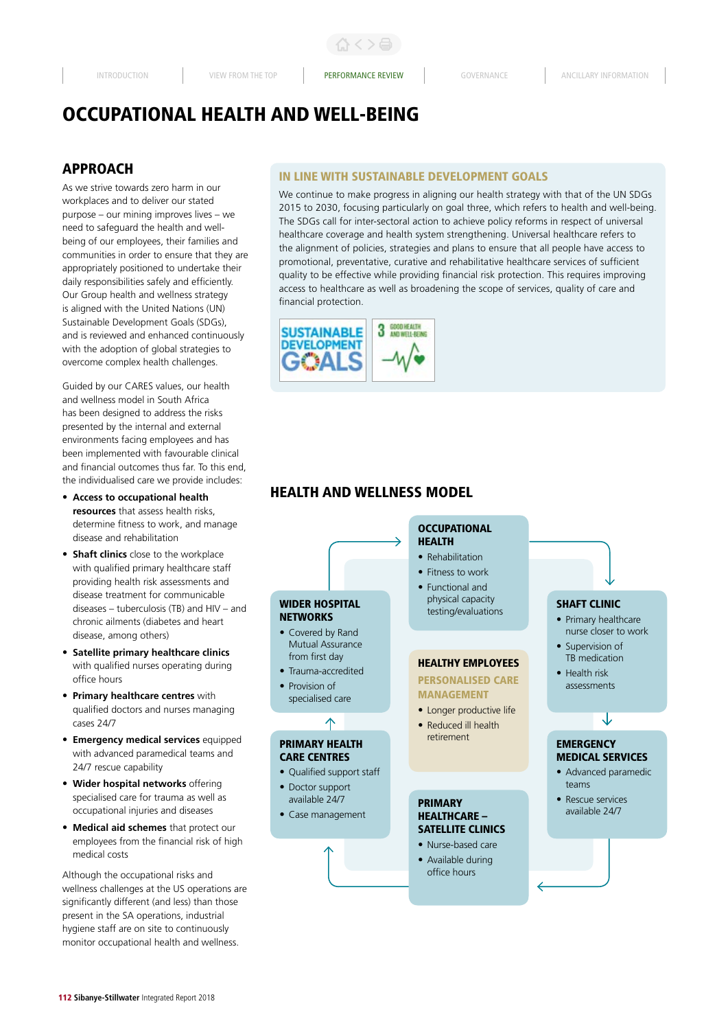くゝ凸

# OCCUPATIONAL HEALTH AND WELL-BEING

# APPROACH

As we strive towards zero harm in our workplaces and to deliver our stated purpose – our mining improves lives – we need to safeguard the health and wellbeing of our employees, their families and communities in order to ensure that they are appropriately positioned to undertake their daily responsibilities safely and efficiently. Our Group health and wellness strategy is aligned with the United Nations (UN) Sustainable Development Goals (SDGs), and is reviewed and enhanced continuously with the adoption of global strategies to overcome complex health challenges.

Guided by our CARES values, our health and wellness model in South Africa has been designed to address the risks presented by the internal and external environments facing employees and has been implemented with favourable clinical and financial outcomes thus far. To this end, the individualised care we provide includes:

- **Access to occupational health resources** that assess health risks, determine fitness to work, and manage disease and rehabilitation
- **Shaft clinics** close to the workplace with qualified primary healthcare staff providing health risk assessments and disease treatment for communicable diseases – tuberculosis (TB) and HIV – and chronic ailments (diabetes and heart disease, among others)
- **Satellite primary healthcare clinics** with qualified nurses operating during office hours
- **Primary healthcare centres** with qualified doctors and nurses managing cases 24/7
- **Emergency medical services** equipped with advanced paramedical teams and 24/7 rescue capability
- **Wider hospital networks** offering specialised care for trauma as well as occupational injuries and diseases
- **Medical aid schemes** that protect our employees from the financial risk of high medical costs

Although the occupational risks and wellness challenges at the US operations are significantly different (and less) than those present in the SA operations, industrial hygiene staff are on site to continuously monitor occupational health and wellness.

## IN LINE WITH SUSTAINABLE DEVELOPMENT GOALS

We continue to make progress in aligning our health strategy with that of the UN SDGs 2015 to 2030, focusing particularly on goal three, which refers to health and well-being. The SDGs call for inter-sectoral action to achieve policy reforms in respect of universal healthcare coverage and health system strengthening. Universal healthcare refers to the alignment of policies, strategies and plans to ensure that all people have access to promotional, preventative, curative and rehabilitative healthcare services of sufficient quality to be effective while providing financial risk protection. This requires improving access to healthcare as well as broadening the scope of services, quality of care and financial protection.



# HEALTH AND WELLNESS MODEL

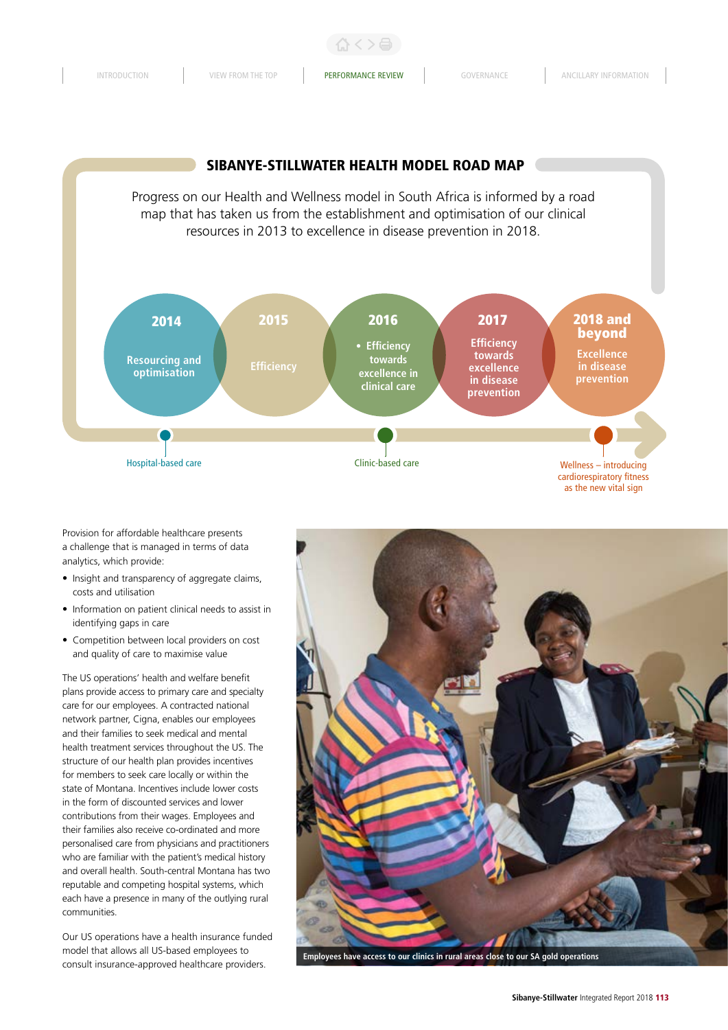



Provision for affordable healthcare presents a challenge that is managed in terms of data analytics, which provide:

- Insight and transparency of aggregate claims, costs and utilisation
- Information on patient clinical needs to assist in identifying gaps in care
- Competition between local providers on cost and quality of care to maximise value

The US operations' health and welfare benefit plans provide access to primary care and specialty care for our employees. A contracted national network partner, Cigna, enables our employees and their families to seek medical and mental health treatment services throughout the US. The structure of our health plan provides incentives for members to seek care locally or within the state of Montana. Incentives include lower costs in the form of discounted services and lower contributions from their wages. Employees and their families also receive co-ordinated and more personalised care from physicians and practitioners who are familiar with the patient's medical history and overall health. South-central Montana has two reputable and competing hospital systems, which each have a presence in many of the outlying rural communities.

Our US operations have a health insurance funded model that allows all US-based employees to consult insurance-approved healthcare providers.



**Employees have access to our clinics in rural areas close to our SA gold operations**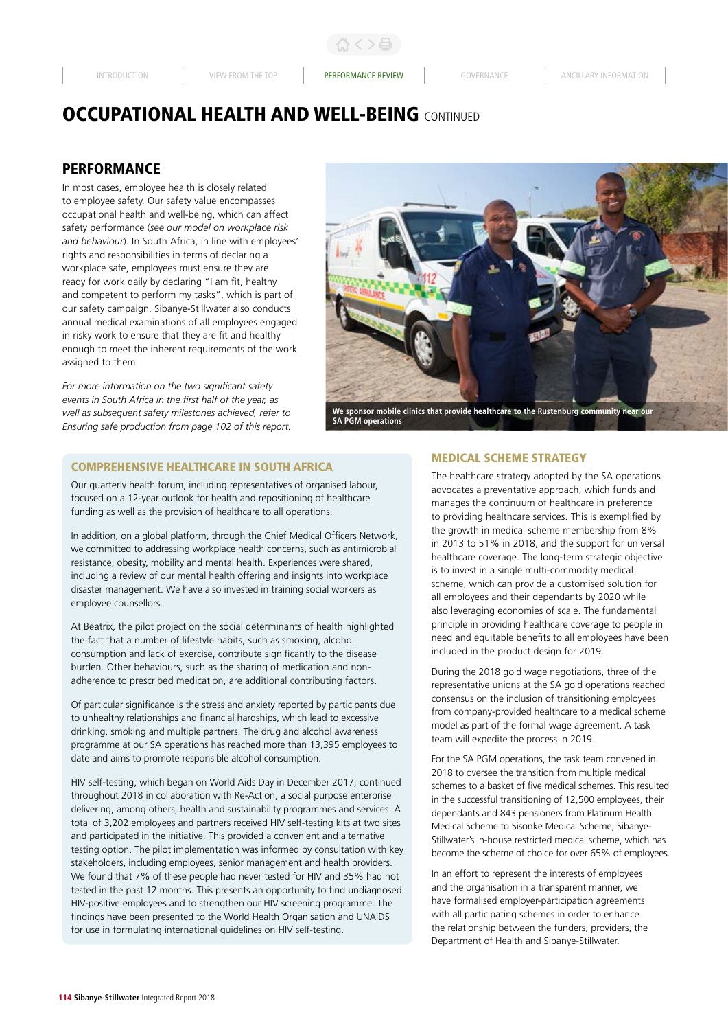# **PERFORMANCE**

In most cases, employee health is closely related to employee safety. Our safety value encompasses occupational health and well-being, which can affect safety performance (*see our model on workplace risk and behaviour*). In South Africa, in line with employees' rights and responsibilities in terms of declaring a workplace safe, employees must ensure they are ready for work daily by declaring "I am fit, healthy and competent to perform my tasks", which is part of our safety campaign. Sibanye-Stillwater also conducts annual medical examinations of all employees engaged in risky work to ensure that they are fit and healthy enough to meet the inherent requirements of the work assigned to them.

*For more information on the two significant safety events in South Africa in the first half of the year, as well as subsequent safety milestones achieved, refer to Ensuring safe production from page 102 of this report.*



**We sponsor mobile clinics that provide healthcare to the Rustenburg community near our SA PGM operations**

## COMPREHENSIVE HEALTHCARE IN SOUTH AFRICA

Our quarterly health forum, including representatives of organised labour, focused on a 12-year outlook for health and repositioning of healthcare funding as well as the provision of healthcare to all operations.

In addition, on a global platform, through the Chief Medical Officers Network, we committed to addressing workplace health concerns, such as antimicrobial resistance, obesity, mobility and mental health. Experiences were shared, including a review of our mental health offering and insights into workplace disaster management. We have also invested in training social workers as employee counsellors.

At Beatrix, the pilot project on the social determinants of health highlighted the fact that a number of lifestyle habits, such as smoking, alcohol consumption and lack of exercise, contribute significantly to the disease burden. Other behaviours, such as the sharing of medication and nonadherence to prescribed medication, are additional contributing factors.

Of particular significance is the stress and anxiety reported by participants due to unhealthy relationships and financial hardships, which lead to excessive drinking, smoking and multiple partners. The drug and alcohol awareness programme at our SA operations has reached more than 13,395 employees to date and aims to promote responsible alcohol consumption.

HIV self-testing, which began on World Aids Day in December 2017, continued throughout 2018 in collaboration with Re-Action, a social purpose enterprise delivering, among others, health and sustainability programmes and services. A total of 3,202 employees and partners received HIV self-testing kits at two sites and participated in the initiative. This provided a convenient and alternative testing option. The pilot implementation was informed by consultation with key stakeholders, including employees, senior management and health providers. We found that 7% of these people had never tested for HIV and 35% had not tested in the past 12 months. This presents an opportunity to find undiagnosed HIV-positive employees and to strengthen our HIV screening programme. The findings have been presented to the World Health Organisation and UNAIDS for use in formulating international guidelines on HIV self-testing.

#### MEDICAL SCHEME STRATEGY

The healthcare strategy adopted by the SA operations advocates a preventative approach, which funds and manages the continuum of healthcare in preference to providing healthcare services. This is exemplified by the growth in medical scheme membership from 8% in 2013 to 51% in 2018, and the support for universal healthcare coverage. The long-term strategic objective is to invest in a single multi-commodity medical scheme, which can provide a customised solution for all employees and their dependants by 2020 while also leveraging economies of scale. The fundamental principle in providing healthcare coverage to people in need and equitable benefits to all employees have been included in the product design for 2019.

During the 2018 gold wage negotiations, three of the representative unions at the SA gold operations reached consensus on the inclusion of transitioning employees from company-provided healthcare to a medical scheme model as part of the formal wage agreement. A task team will expedite the process in 2019.

For the SA PGM operations, the task team convened in 2018 to oversee the transition from multiple medical schemes to a basket of five medical schemes. This resulted in the successful transitioning of 12,500 employees, their dependants and 843 pensioners from Platinum Health Medical Scheme to Sisonke Medical Scheme, Sibanye-Stillwater's in-house restricted medical scheme, which has become the scheme of choice for over 65% of employees.

In an effort to represent the interests of employees and the organisation in a transparent manner, we have formalised employer-participation agreements with all participating schemes in order to enhance the relationship between the funders, providers, the Department of Health and Sibanye-Stillwater.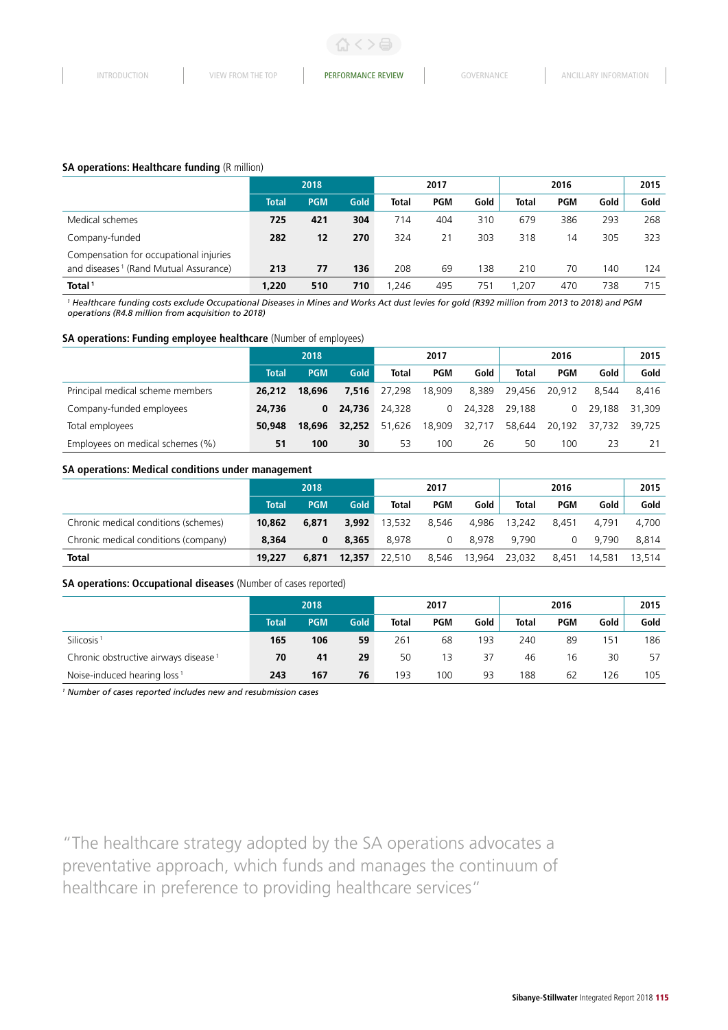### **SA operations: Healthcare funding (R million)**

|                                                                                             |              | 2018       |      |              | 2017       |      |              | 2016       |      |      |  |
|---------------------------------------------------------------------------------------------|--------------|------------|------|--------------|------------|------|--------------|------------|------|------|--|
|                                                                                             | <b>Total</b> | <b>PGM</b> | Gold | <b>Total</b> | <b>PGM</b> | Gold | <b>Total</b> | <b>PGM</b> | Gold | Gold |  |
| Medical schemes                                                                             | 725          | 421        | 304  | 714          | 404        | 310  | 679          | 386        | 293  | 268  |  |
| Company-funded                                                                              | 282          | 12         | 270  | 324          | 21         | 303  | 318          | 14         | 305  | 323  |  |
| Compensation for occupational injuries<br>and diseases <sup>1</sup> (Rand Mutual Assurance) | 213          | 77         | 136  | 208          | 69         | 138  | 210          | 70         | 140  | 124  |  |
| Total <sup>1</sup>                                                                          | 1,220        | 510        | 710  | .246         | 495        | 751  | .207         | 470        | 738  | 715  |  |

*1 Healthcare funding costs exclude Occupational Diseases in Mines and Works Act dust levies for gold (R392 million from 2013 to 2018) and PGM operations (R4.8 million from acquisition to 2018)* 

#### **SA operations: Funding employee healthcare** (Number of employees)

|                                  | 2018         |            |        | 2017         |            |        |              | 2015       |        |        |
|----------------------------------|--------------|------------|--------|--------------|------------|--------|--------------|------------|--------|--------|
|                                  | <b>Total</b> | <b>PGM</b> | Gold   | <b>Total</b> | <b>PGM</b> | Gold   | <b>Total</b> | <b>PGM</b> | Gold   | Gold   |
| Principal medical scheme members | 26.212       | 18,696     | 7.516  | 27.298       | 18,909     | 8.389  | 29.456       | 20.912     | 8.544  | 8.416  |
| Company-funded employees         | 24,736       | 0          | 24,736 | 24,328       | $\Omega$   | 24.328 | 29.188       | 0          | 29.188 | 31,309 |
| Total employees                  | 50,948       | 18,696     | 32,252 | 51.626       | 18,909     | 32.717 | 58,644       | 20.192     | 37.732 | 39.725 |
| Employees on medical schemes (%) | 51           | 100        | 30     | 53           | 100        | 26     | 50           | 100        | 23     |        |

#### **SA operations: Medical conditions under management**

|                                      | 2018         |            |             | 2017         |       |        | 2016         |            |        | 2015   |
|--------------------------------------|--------------|------------|-------------|--------------|-------|--------|--------------|------------|--------|--------|
|                                      | <b>Total</b> | <b>PGM</b> | <b>Gold</b> | <b>Total</b> | PGM   | Gold   | <b>Total</b> | <b>PGM</b> | Gold   | Gold   |
| Chronic medical conditions (schemes) | 10,862       | 6.871      | 3.992       | 13.532       | 8.546 | 4.986  | 13,242       | 8.451      | 4.791  | 4.700  |
| Chronic medical conditions (company) | 8.364        | 0          | 8.365       | 8.978        | 0     | 8.978  | 9.790        | 0          | 9.790  | 8.814  |
| <b>Total</b>                         | 19,227       | 6.871      | 12,357      | 22,510       | 8.546 | 13.964 | 23.032       | 8.451      | 14,581 | 13.514 |

### **SA operations: Occupational diseases** (Number of cases reported)

|                                                  | 2018         |            |             | 2017         |            |      | 2016         |            |      | 2015 |
|--------------------------------------------------|--------------|------------|-------------|--------------|------------|------|--------------|------------|------|------|
|                                                  | <b>Total</b> | <b>PGM</b> | <b>Gold</b> | <b>Total</b> | <b>PGM</b> | Gold | <b>Total</b> | <b>PGM</b> | Gold | Gold |
| Silicosis <sup>1</sup>                           | 165          | 106        | 59          | 261          | 68         | 193  | 240          | 89         | 151  | 186  |
| Chronic obstructive airways disease <sup>1</sup> | 70           | 41         | 29          | 50           | 13         | 37   | 46           | 16         | 30   | 57   |
| Noise-induced hearing loss <sup>1</sup>          | 243          | 167        | 76          | 193          | 100        | 93   | 188          | 62         | 26   | 105  |

*1 Number of cases reported includes new and resubmission cases* 

"The healthcare strategy adopted by the SA operations advocates a preventative approach, which funds and manages the continuum of healthcare in preference to providing healthcare services"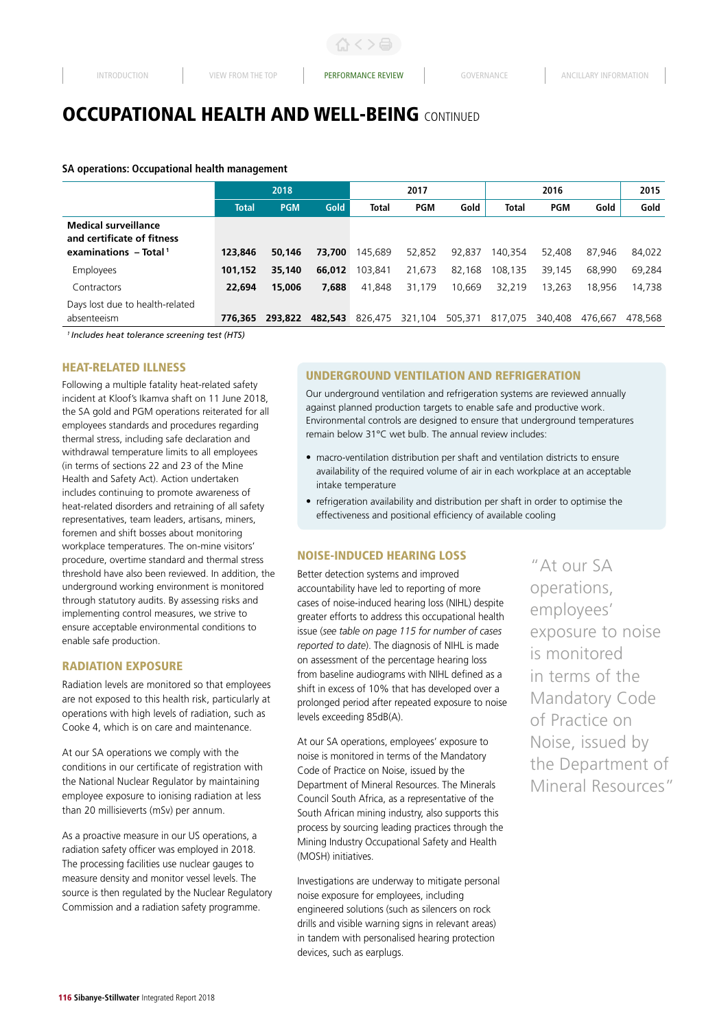**SA operations: Occupational health management**

|                                                                                                  |              | 2018       |         |              | 2017       |         |              | 2015       |         |         |
|--------------------------------------------------------------------------------------------------|--------------|------------|---------|--------------|------------|---------|--------------|------------|---------|---------|
|                                                                                                  | <b>Total</b> | <b>PGM</b> | Gold    | <b>Total</b> | <b>PGM</b> | Gold    | <b>Total</b> | <b>PGM</b> | Gold    | Gold    |
| <b>Medical surveillance</b><br>and certificate of fitness<br>examinations $-$ Total <sup>1</sup> | 123,846      | 50.146     | 73,700  | 145.689      | 52.852     | 92.837  | 140.354      | 52.408     | 87.946  | 84.022  |
| Employees                                                                                        | 101.152      | 35,140     | 66,012  | 103.841      | 21,673     | 82.168  | 108,135      | 39,145     | 68,990  | 69,284  |
| Contractors                                                                                      | 22,694       | 15,006     | 7,688   | 41,848       | 31.179     | 10.669  | 32.219       | 13.263     | 18.956  | 14.738  |
| Days lost due to health-related<br>absenteeism                                                   | 776.365      | 293.822    | 482.543 | 826.475      | 321,104    | 505,371 | 817.075      | 340,408    | 476.667 | 478.568 |

*1 Includes heat tolerance screening test (HTS)*

### HEAT-RELATED ILLNESS

Following a multiple fatality heat-related safety incident at Kloof's Ikamva shaft on 11 June 2018, the SA gold and PGM operations reiterated for all employees standards and procedures regarding thermal stress, including safe declaration and withdrawal temperature limits to all employees (in terms of sections 22 and 23 of the Mine Health and Safety Act). Action undertaken includes continuing to promote awareness of heat-related disorders and retraining of all safety representatives, team leaders, artisans, miners, foremen and shift bosses about monitoring workplace temperatures. The on-mine visitors' procedure, overtime standard and thermal stress threshold have also been reviewed. In addition, the underground working environment is monitored through statutory audits. By assessing risks and implementing control measures, we strive to ensure acceptable environmental conditions to enable safe production.

#### RADIATION EXPOSURE

Radiation levels are monitored so that employees are not exposed to this health risk, particularly at operations with high levels of radiation, such as Cooke 4, which is on care and maintenance.

At our SA operations we comply with the conditions in our certificate of registration with the National Nuclear Regulator by maintaining employee exposure to ionising radiation at less than 20 millisieverts (mSv) per annum.

As a proactive measure in our US operations, a radiation safety officer was employed in 2018. The processing facilities use nuclear gauges to measure density and monitor vessel levels. The source is then regulated by the Nuclear Regulatory Commission and a radiation safety programme.

## UNDERGROUND VENTILATION AND REFRIGERATION

Our underground ventilation and refrigeration systems are reviewed annually against planned production targets to enable safe and productive work. Environmental controls are designed to ensure that underground temperatures remain below 31°C wet bulb. The annual review includes:

- macro-ventilation distribution per shaft and ventilation districts to ensure availability of the required volume of air in each workplace at an acceptable intake temperature
- refrigeration availability and distribution per shaft in order to optimise the effectiveness and positional efficiency of available cooling

## NOISE-INDUCED HEARING LOSS

Better detection systems and improved accountability have led to reporting of more cases of noise-induced hearing loss (NIHL) despite greater efforts to address this occupational health issue (*see table on page 115 for number of cases reported to date*). The diagnosis of NIHL is made on assessment of the percentage hearing loss from baseline audiograms with NIHL defined as a shift in excess of 10% that has developed over a prolonged period after repeated exposure to noise levels exceeding 85dB(A).

At our SA operations, employees' exposure to noise is monitored in terms of the Mandatory Code of Practice on Noise, issued by the Department of Mineral Resources. The Minerals Council South Africa, as a representative of the South African mining industry, also supports this process by sourcing leading practices through the Mining Industry Occupational Safety and Health (MOSH) initiatives.

Investigations are underway to mitigate personal noise exposure for employees, including engineered solutions (such as silencers on rock drills and visible warning signs in relevant areas) in tandem with personalised hearing protection devices, such as earplugs.

"At our SA operations, employees' exposure to noise is monitored in terms of the Mandatory Code of Practice on Noise, issued by the Department of Mineral Resources"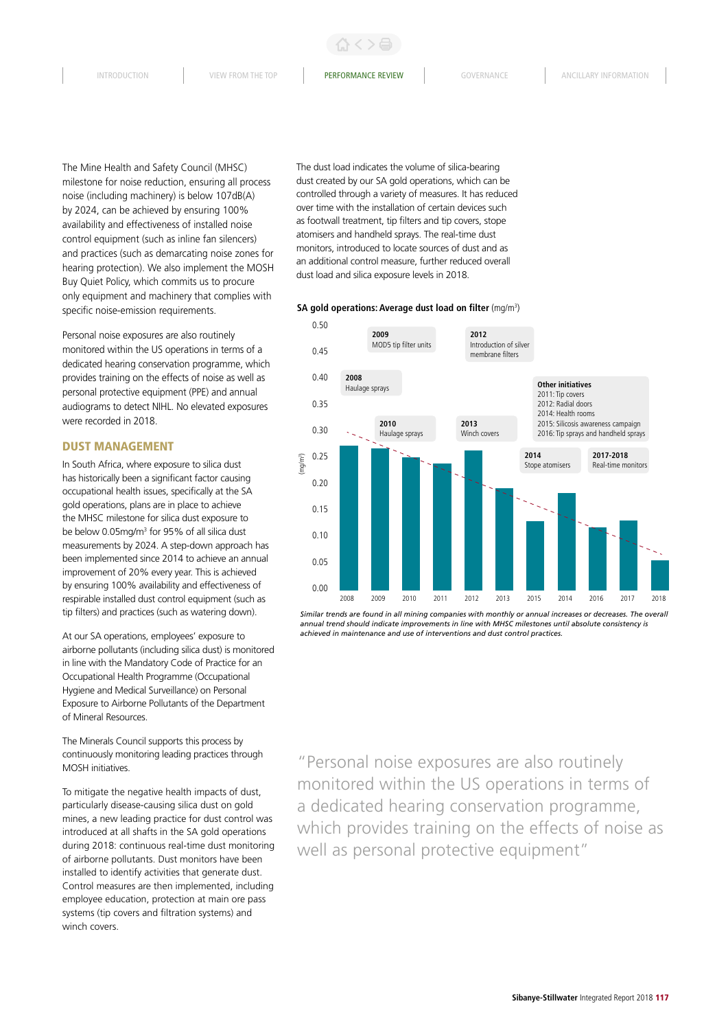The Mine Health and Safety Council (MHSC) milestone for noise reduction, ensuring all process noise (including machinery) is below 107dB(A) by 2024, can be achieved by ensuring 100% availability and effectiveness of installed noise control equipment (such as inline fan silencers) and practices (such as demarcating noise zones for hearing protection). We also implement the MOSH Buy Quiet Policy, which commits us to procure only equipment and machinery that complies with specific noise-emission requirements.

Personal noise exposures are also routinely monitored within the US operations in terms of a dedicated hearing conservation programme, which provides training on the effects of noise as well as personal protective equipment (PPE) and annual audiograms to detect NIHL. No elevated exposures were recorded in 2018.

## DUST MANAGEMENT

In South Africa, where exposure to silica dust has historically been a significant factor causing occupational health issues, specifically at the SA gold operations, plans are in place to achieve the MHSC milestone for silica dust exposure to be below 0.05mg/m<sup>3</sup> for 95% of all silica dust measurements by 2024. A step-down approach has been implemented since 2014 to achieve an annual improvement of 20% every year. This is achieved by ensuring 100% availability and effectiveness of respirable installed dust control equipment (such as tip filters) and practices (such as watering down).

At our SA operations, employees' exposure to airborne pollutants (including silica dust) is monitored in line with the Mandatory Code of Practice for an Occupational Health Programme (Occupational Hygiene and Medical Surveillance) on Personal Exposure to Airborne Pollutants of the Department of Mineral Resources.

The Minerals Council supports this process by continuously monitoring leading practices through MOSH initiatives.

To mitigate the negative health impacts of dust, particularly disease-causing silica dust on gold mines, a new leading practice for dust control was introduced at all shafts in the SA gold operations during 2018: continuous real-time dust monitoring of airborne pollutants. Dust monitors have been installed to identify activities that generate dust. Control measures are then implemented, including employee education, protection at main ore pass systems (tip covers and filtration systems) and winch covers.

The dust load indicates the volume of silica-bearing dust created by our SA gold operations, which can be controlled through a variety of measures. It has reduced over time with the installation of certain devices such as footwall treatment, tip filters and tip covers, stope atomisers and handheld sprays. The real-time dust monitors, introduced to locate sources of dust and as an additional control measure, further reduced overall dust load and silica exposure levels in 2018.

#### **SA gold operations: Average dust load on filter** (mg/m<sup>3</sup>)



*Similar trends are found in all mining companies with monthly or annual increases or decreases. The overall annual trend should indicate improvements in line with MHSC milestones until absolute consistency is achieved in maintenance and use of interventions and dust control practices.*

"Personal noise exposures are also routinely monitored within the US operations in terms of a dedicated hearing conservation programme, which provides training on the effects of noise as well as personal protective equipment"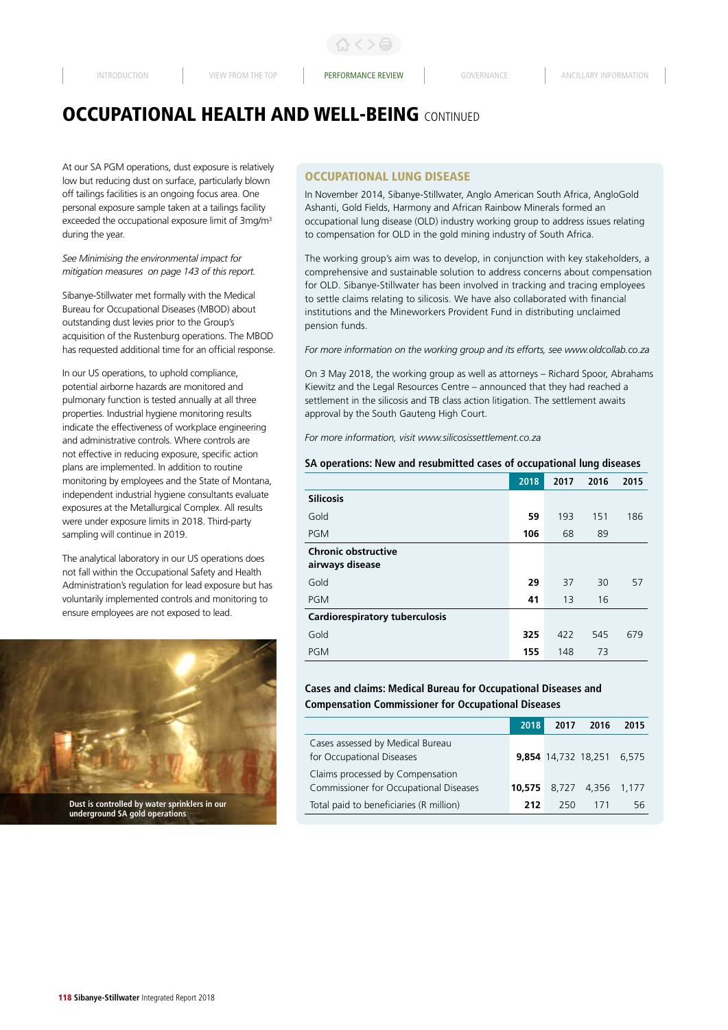At our SA PGM operations, dust exposure is relatively low but reducing dust on surface, particularly blown off tailings facilities is an ongoing focus area. One personal exposure sample taken at a tailings facility exceeded the occupational exposure limit of 3mg/m<sup>3</sup> during the year.

*See Minimising the environmental impact for mitigation measures on page 143 of this report.* 

Sibanye-Stillwater met formally with the Medical Bureau for Occupational Diseases (MBOD) about outstanding dust levies prior to the Group's acquisition of the Rustenburg operations. The MBOD has requested additional time for an official response.

In our US operations, to uphold compliance, potential airborne hazards are monitored and pulmonary function is tested annually at all three properties. Industrial hygiene monitoring results indicate the effectiveness of workplace engineering and administrative controls. Where controls are not effective in reducing exposure, specific action plans are implemented. In addition to routine monitoring by employees and the State of Montana, independent industrial hygiene consultants evaluate exposures at the Metallurgical Complex. All results were under exposure limits in 2018. Third-party sampling will continue in 2019.

The analytical laboratory in our US operations does not fall within the Occupational Safety and Health Administration's regulation for lead exposure but has voluntarily implemented controls and monitoring to ensure employees are not exposed to lead.



## OCCUPATIONAL LUNG DISEASE

In November 2014, Sibanye-Stillwater, Anglo American South Africa, AngloGold Ashanti, Gold Fields, Harmony and African Rainbow Minerals formed an occupational lung disease (OLD) industry working group to address issues relating to compensation for OLD in the gold mining industry of South Africa.

The working group's aim was to develop, in conjunction with key stakeholders, a comprehensive and sustainable solution to address concerns about compensation for OLD. Sibanye-Stillwater has been involved in tracking and tracing employees to settle claims relating to silicosis. We have also collaborated with financial institutions and the Mineworkers Provident Fund in distributing unclaimed pension funds.

*For more information on the working group and its efforts, see www.oldcollab.co.za*

On 3 May 2018, the working group as well as attorneys – Richard Spoor, Abrahams Kiewitz and the Legal Resources Centre – announced that they had reached a settlement in the silicosis and TB class action litigation. The settlement awaits approval by the South Gauteng High Court.

*For more information, visit www.silicosissettlement.co.za*

#### **SA operations: New and resubmitted cases of occupational lung diseases**

|                                               | 2018 | 2017 | 2016 | 2015 |
|-----------------------------------------------|------|------|------|------|
| <b>Silicosis</b>                              |      |      |      |      |
| Gold                                          | 59   | 193  | 151  | 186  |
| <b>PGM</b>                                    | 106  | 68   | 89   |      |
| <b>Chronic obstructive</b><br>airways disease |      |      |      |      |
| Gold                                          | 29   | 37   | 30   | 57   |
| <b>PGM</b>                                    | 41   | 13   | 16   |      |
| Cardiorespiratory tuberculosis                |      |      |      |      |
| Gold                                          | 325  | 422  | 545  | 679  |
| <b>PGM</b>                                    | 155  | 148  | 73   |      |

# **Cases and claims: Medical Bureau for Occupational Diseases and Compensation Commissioner for Occupational Diseases**

|                                                                                 |                                                               | 2018 | 2017 | 2016                      | 2015 |
|---------------------------------------------------------------------------------|---------------------------------------------------------------|------|------|---------------------------|------|
|                                                                                 | Cases assessed by Medical Bureau<br>for Occupational Diseases |      |      | 9,854 14,732 18,251 6,575 |      |
|                                                                                 | Claims processed by Compensation                              |      |      |                           |      |
|                                                                                 | Commissioner for Occupational Diseases                        |      |      | 10,575 8,727 4,356 1,177  |      |
| Dust is controlled by water sprinklers in our<br>underground SA gold operations | Total paid to beneficiaries (R million)                       | 212  | 250  | 171                       | 56   |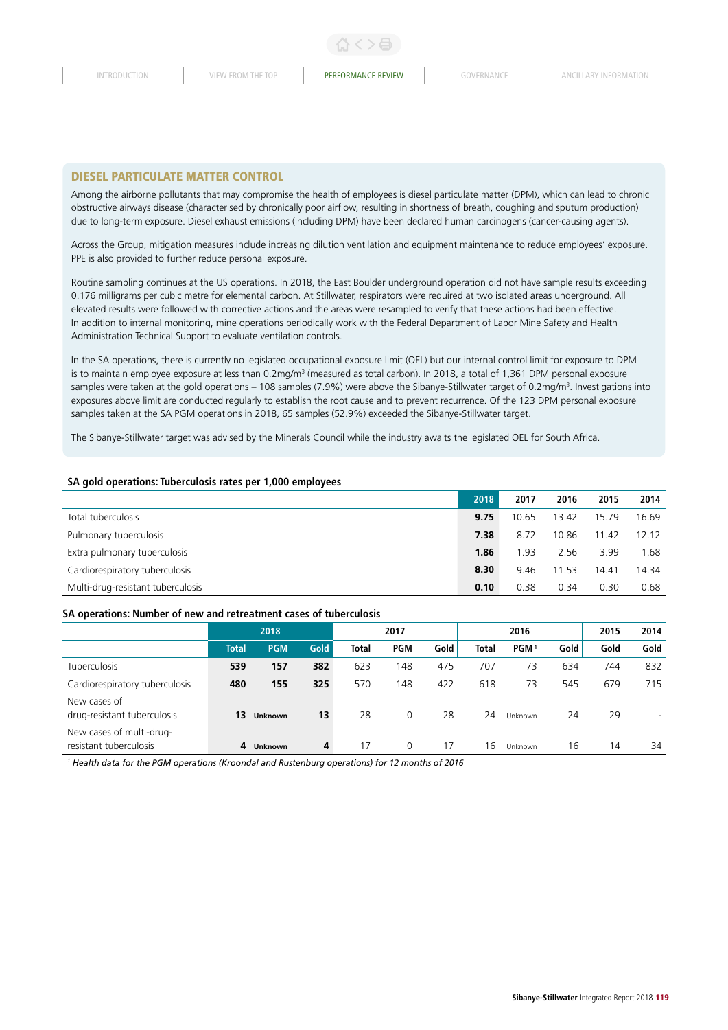#### DIESEL PARTICULATE MATTER CONTROL

Among the airborne pollutants that may compromise the health of employees is diesel particulate matter (DPM), which can lead to chronic obstructive airways disease (characterised by chronically poor airflow, resulting in shortness of breath, coughing and sputum production) due to long-term exposure. Diesel exhaust emissions (including DPM) have been declared human carcinogens (cancer-causing agents).

Across the Group, mitigation measures include increasing dilution ventilation and equipment maintenance to reduce employees' exposure. PPE is also provided to further reduce personal exposure.

Routine sampling continues at the US operations. In 2018, the East Boulder underground operation did not have sample results exceeding 0.176 milligrams per cubic metre for elemental carbon. At Stillwater, respirators were required at two isolated areas underground. All elevated results were followed with corrective actions and the areas were resampled to verify that these actions had been effective. In addition to internal monitoring, mine operations periodically work with the Federal Department of Labor Mine Safety and Health Administration Technical Support to evaluate ventilation controls.

In the SA operations, there is currently no legislated occupational exposure limit (OEL) but our internal control limit for exposure to DPM is to maintain employee exposure at less than 0.2mg/m<sup>3</sup> (measured as total carbon). In 2018, a total of 1,361 DPM personal exposure samples were taken at the gold operations – 108 samples (7.9%) were above the Sibanye-Stillwater target of 0.2mg/m3 . Investigations into exposures above limit are conducted regularly to establish the root cause and to prevent recurrence. Of the 123 DPM personal exposure samples taken at the SA PGM operations in 2018, 65 samples (52.9%) exceeded the Sibanye-Stillwater target.

The Sibanye-Stillwater target was advised by the Minerals Council while the industry awaits the legislated OEL for South Africa.

#### **SA gold operations: Tuberculosis rates per 1,000 employees**

|                                   | 2018 | 2017  | 2016  | 2015  | 2014  |
|-----------------------------------|------|-------|-------|-------|-------|
| Total tuberculosis                | 9.75 | 10.65 | 13.42 | 15.79 | 16.69 |
| Pulmonary tuberculosis            | 7.38 | 8.72  | 10.86 | 11.42 | 12.12 |
| Extra pulmonary tuberculosis      | 1.86 | L.93  | 2.56  | 3.99  | 1.68  |
| Cardiorespiratory tuberculosis    | 8.30 | 9.46  | 11.53 | 14.41 | 14.34 |
| Multi-drug-resistant tuberculosis | 0.10 | 0.38  | 0.34  | 0.30  | 0.68  |

#### **SA operations: Number of new and retreatment cases of tuberculosis**

|                                                    |              | 2018           |             |              | 2017       |      |              | 2016             |      | 2015 | 2014 |
|----------------------------------------------------|--------------|----------------|-------------|--------------|------------|------|--------------|------------------|------|------|------|
|                                                    | <b>Total</b> | <b>PGM</b>     | <b>Gold</b> | <b>Total</b> | <b>PGM</b> | Gold | <b>Total</b> | PGM <sup>1</sup> | Gold | Gold | Gold |
| <b>Tuberculosis</b>                                | 539          | 157            | 382         | 623          | 148        | 475  | 707          | 73               | 634  | 744  | 832  |
| Cardiorespiratory tuberculosis                     | 480          | 155            | 325         | 570          | 148        | 422  | 618          | 73               | 545  | 679  | 715  |
| New cases of<br>drug-resistant tuberculosis        | 13           | Unknown        | 13          | 28           | $\Omega$   | 28   | 24           | Unknown          | 24   | 29   | ۰    |
| New cases of multi-drug-<br>resistant tuberculosis | 4            | <b>Unknown</b> | 4           | 17           | $\Omega$   | 17   | 16           | Unknown          | 16   | 14   | 34   |

*1 Health data for the PGM operations (Kroondal and Rustenburg operations) for 12 months of 2016*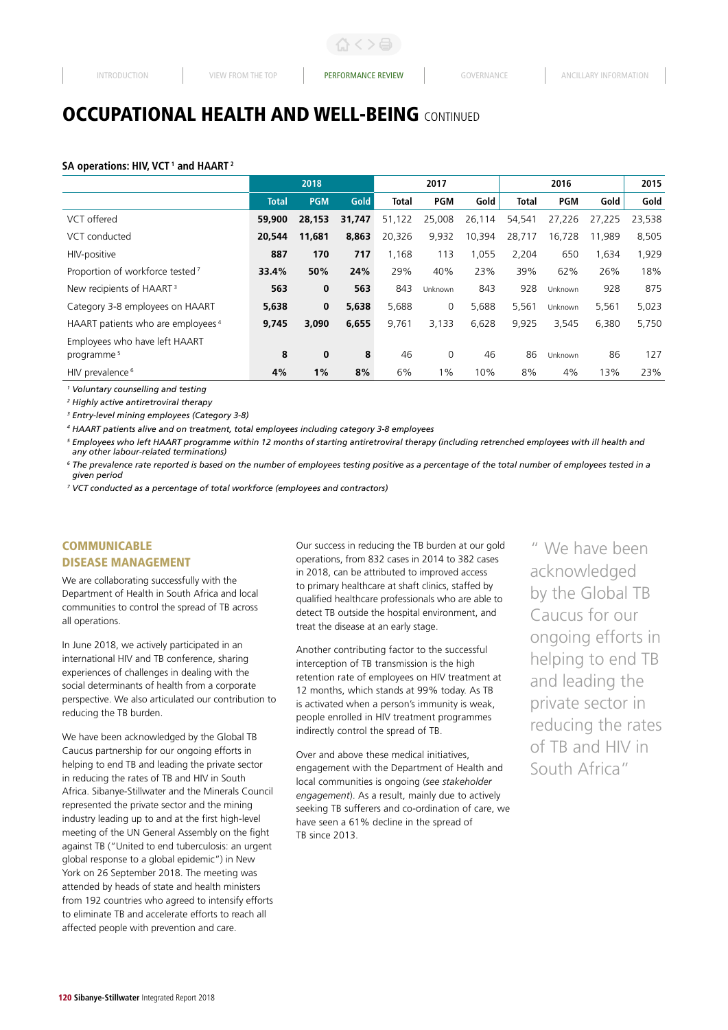#### SA operations: HIV, VCT<sup>1</sup> and HAART<sup>2</sup>

|                                               |              | 2018       |             |              | 2017       |        |              |            | 2015   |        |
|-----------------------------------------------|--------------|------------|-------------|--------------|------------|--------|--------------|------------|--------|--------|
|                                               | <b>Total</b> | <b>PGM</b> | <b>Gold</b> | <b>Total</b> | <b>PGM</b> | Gold   | <b>Total</b> | <b>PGM</b> | Gold   | Gold   |
| VCT offered                                   | 59,900       | 28,153     | 31,747      | 51,122       | 25,008     | 26,114 | 54,541       | 27,226     | 27.225 | 23,538 |
| VCT conducted                                 | 20,544       | 11,681     | 8,863       | 20,326       | 9,932      | 10,394 | 28,717       | 16,728     | 11,989 | 8,505  |
| HIV-positive                                  | 887          | 170        | 717         | 1,168        | 113        | 1,055  | 2,204        | 650        | 1,634  | 1,929  |
| Proportion of workforce tested <sup>7</sup>   | 33.4%        | 50%        | 24%         | 29%          | 40%        | 23%    | 39%          | 62%        | 26%    | 18%    |
| New recipients of HAART <sup>3</sup>          | 563          | 0          | 563         | 843          | Unknown    | 843    | 928          | Unknown    | 928    | 875    |
| Category 3-8 employees on HAART               | 5,638        | $\bf{0}$   | 5,638       | 5,688        | 0          | 5,688  | 5,561        | Unknown    | 5,561  | 5,023  |
| HAART patients who are employees <sup>4</sup> | 9,745        | 3,090      | 6,655       | 9,761        | 3,133      | 6,628  | 9,925        | 3,545      | 6,380  | 5,750  |
| Employees who have left HAART                 |              |            |             |              |            |        |              |            |        |        |
| programme <sup>5</sup>                        | 8            | 0          | 8           | 46           | 0          | 46     | 86           | Unknown    | 86     | 127    |
| HIV prevalence <sup>6</sup>                   | 4%           | 1%         | 8%          | 6%           | $1\%$      | 10%    | 8%           | 4%         | 13%    | 23%    |

*1 Voluntary counselling and testing*

*2 Highly active antiretroviral therapy*

*3 Entry-level mining employees (Category 3-8)* 

*4 HAART patients alive and on treatment, total employees including category 3-8 employees*

*<sup>5</sup> Employees who left HAART programme within 12 months of starting antiretroviral therapy (including retrenched employees with ill health and any other labour-related terminations)*

*<sup>6</sup> The prevalence rate reported is based on the number of employees testing positive as a percentage of the total number of employees tested in a given period*

*7 VCT conducted as a percentage of total workforce (employees and contractors)*

# **COMMUNICABLE**

#### DISEASE MANAGEMENT

We are collaborating successfully with the Department of Health in South Africa and local communities to control the spread of TB across all operations.

In June 2018, we actively participated in an international HIV and TB conference, sharing experiences of challenges in dealing with the social determinants of health from a corporate perspective. We also articulated our contribution to reducing the TB burden.

We have been acknowledged by the Global TB Caucus partnership for our ongoing efforts in helping to end TB and leading the private sector in reducing the rates of TB and HIV in South Africa. Sibanye-Stillwater and the Minerals Council represented the private sector and the mining industry leading up to and at the first high-level meeting of the UN General Assembly on the fight against TB ("United to end tuberculosis: an urgent global response to a global epidemic") in New York on 26 September 2018. The meeting was attended by heads of state and health ministers from 192 countries who agreed to intensify efforts to eliminate TB and accelerate efforts to reach all affected people with prevention and care.

Our success in reducing the TB burden at our gold operations, from 832 cases in 2014 to 382 cases in 2018, can be attributed to improved access to primary healthcare at shaft clinics, staffed by qualified healthcare professionals who are able to detect TB outside the hospital environment, and treat the disease at an early stage.

Another contributing factor to the successful interception of TB transmission is the high retention rate of employees on HIV treatment at 12 months, which stands at 99% today. As TB is activated when a person's immunity is weak, people enrolled in HIV treatment programmes indirectly control the spread of TB.

Over and above these medical initiatives, engagement with the Department of Health and local communities is ongoing (*see stakeholder engagement*). As a result, mainly due to actively seeking TB sufferers and co-ordination of care, we have seen a 61% decline in the spread of TB since 2013.

" We have been acknowledged by the Global TB Caucus for our ongoing efforts in helping to end TB and leading the private sector in reducing the rates of TB and HIV in South Africa"